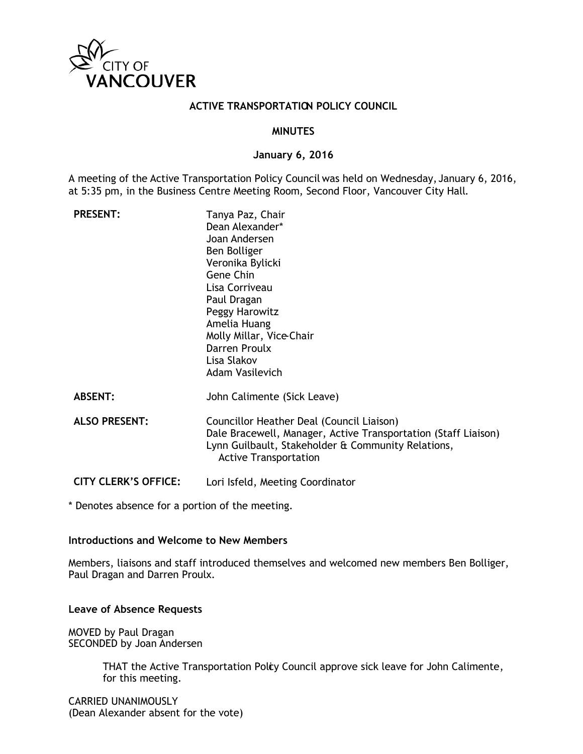

#### **ACTIVE TRANSPORTATION POLICY COUNCIL**

#### **MINUTES**

#### **January 6, 2016**

A meeting of the Active Transportation Policy Council was held on Wednesday, January 6, 2016, at 5:35 pm, in the Business Centre Meeting Room, Second Floor, Vancouver City Hall.

| <b>PRESENT:</b>             | Tanya Paz, Chair<br>Dean Alexander*<br>Joan Andersen<br>Ben Bolliger<br>Veronika Bylicki<br>Gene Chin<br>Lisa Corriveau<br>Paul Dragan<br>Peggy Harowitz<br>Amelia Huang<br>Molly Millar, Vice-Chair<br>Darren Proulx<br>Lisa Slakov<br><b>Adam Vasilevich</b> |
|-----------------------------|----------------------------------------------------------------------------------------------------------------------------------------------------------------------------------------------------------------------------------------------------------------|
| <b>ABSENT:</b>              | John Calimente (Sick Leave)                                                                                                                                                                                                                                    |
| <b>ALSO PRESENT:</b>        | Councillor Heather Deal (Council Liaison)<br>Dale Bracewell, Manager, Active Transportation (Staff Liaison)<br>Lynn Guilbault, Stakeholder & Community Relations,<br><b>Active Transportation</b>                                                              |
| <b>CITY CLERK'S OFFICE:</b> | Lori Isfeld, Meeting Coordinator                                                                                                                                                                                                                               |

\* Denotes absence for a portion of the meeting.

#### **Introductions and Welcome to New Members**

Members, liaisons and staff introduced themselves and welcomed new members Ben Bolliger, Paul Dragan and Darren Proulx.

#### **Leave of Absence Requests**

MOVED by Paul Dragan SECONDED by Joan Andersen

> THAT the Active Transportation Policy Council approve sick leave for John Calimente, for this meeting.

CARRIED UNANIMOUSLY (Dean Alexander absent for the vote)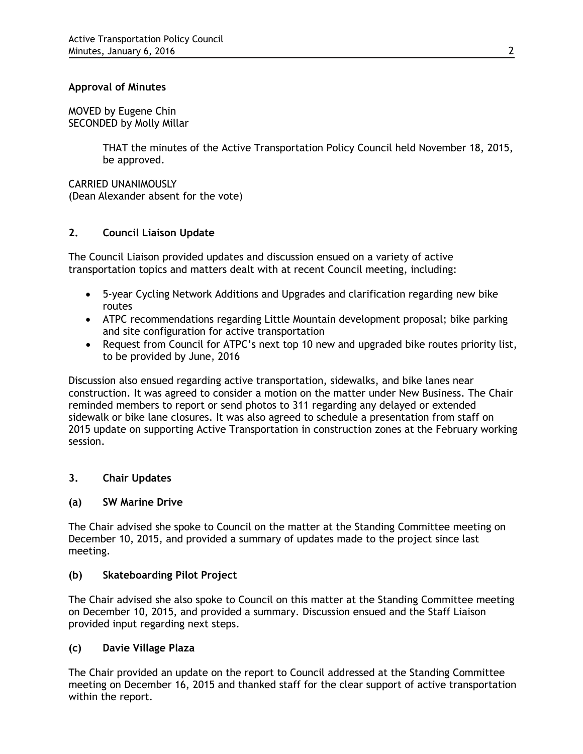## **Approval of Minutes**

MOVED by Eugene Chin SECONDED by Molly Millar

> THAT the minutes of the Active Transportation Policy Council held November 18, 2015, be approved.

CARRIED UNANIMOUSLY (Dean Alexander absent for the vote)

## **2. Council Liaison Update**

The Council Liaison provided updates and discussion ensued on a variety of active transportation topics and matters dealt with at recent Council meeting, including:

- 5-year Cycling Network Additions and Upgrades and clarification regarding new bike routes
- ATPC recommendations regarding Little Mountain development proposal; bike parking and site configuration for active transportation
- Request from Council for ATPC's next top 10 new and upgraded bike routes priority list, to be provided by June, 2016

Discussion also ensued regarding active transportation, sidewalks, and bike lanes near construction. It was agreed to consider a motion on the matter under New Business. The Chair reminded members to report or send photos to 311 regarding any delayed or extended sidewalk or bike lane closures. It was also agreed to schedule a presentation from staff on 2015 update on supporting Active Transportation in construction zones at the February working session.

# **3. Chair Updates**

## **(a) SW Marine Drive**

The Chair advised she spoke to Council on the matter at the Standing Committee meeting on December 10, 2015, and provided a summary of updates made to the project since last meeting.

## **(b) Skateboarding Pilot Project**

The Chair advised she also spoke to Council on this matter at the Standing Committee meeting on December 10, 2015, and provided a summary. Discussion ensued and the Staff Liaison provided input regarding next steps.

## **(c) Davie Village Plaza**

The Chair provided an update on the report to Council addressed at the Standing Committee meeting on December 16, 2015 and thanked staff for the clear support of active transportation within the report.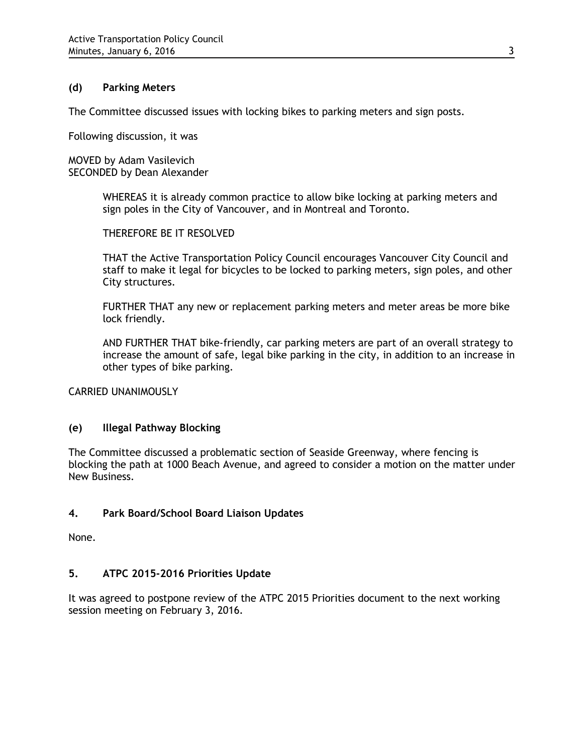#### **(d) Parking Meters**

The Committee discussed issues with locking bikes to parking meters and sign posts.

Following discussion, it was

MOVED by Adam Vasilevich SECONDED by Dean Alexander

> WHEREAS it is already common practice to allow bike locking at parking meters and sign poles in the City of Vancouver, and in Montreal and Toronto.

THEREFORE BE IT RESOLVED

THAT the Active Transportation Policy Council encourages Vancouver City Council and staff to make it legal for bicycles to be locked to parking meters, sign poles, and other City structures.

FURTHER THAT any new or replacement parking meters and meter areas be more bike lock friendly.

AND FURTHER THAT bike-friendly, car parking meters are part of an overall strategy to increase the amount of safe, legal bike parking in the city, in addition to an increase in other types of bike parking.

CARRIED UNANIMOUSLY

## **(e) Illegal Pathway Blocking**

The Committee discussed a problematic section of Seaside Greenway, where fencing is blocking the path at 1000 Beach Avenue, and agreed to consider a motion on the matter under New Business.

## **4. Park Board/School Board Liaison Updates**

None.

## **5. ATPC 2015-2016 Priorities Update**

It was agreed to postpone review of the ATPC 2015 Priorities document to the next working session meeting on February 3, 2016.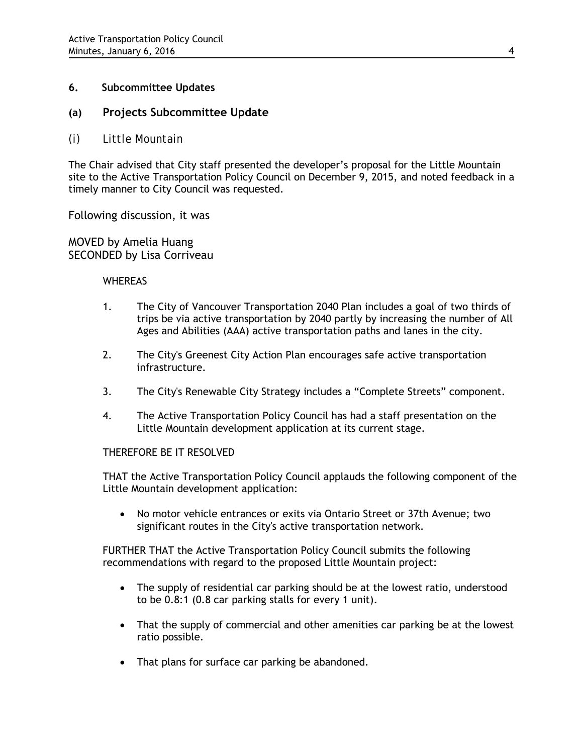## **6. Subcommittee Updates**

## **(a) Projects Subcommittee Update**

*(i) Little Mountain*

The Chair advised that City staff presented the developer's proposal for the Little Mountain site to the Active Transportation Policy Council on December 9, 2015, and noted feedback in a timely manner to City Council was requested.

Following discussion, it was

MOVED by Amelia Huang SECONDED by Lisa Corriveau

#### WHEREAS

- 1. The City of Vancouver Transportation 2040 Plan includes a goal of two thirds of trips be via active transportation by 2040 partly by increasing the number of All Ages and Abilities (AAA) active transportation paths and lanes in the city.
- 2. The City's Greenest City Action Plan encourages safe active transportation infrastructure.
- 3. The City's Renewable City Strategy includes a "Complete Streets" component.
- 4. The Active Transportation Policy Council has had a staff presentation on the Little Mountain development application at its current stage.

#### THEREFORE BE IT RESOLVED

THAT the Active Transportation Policy Council applauds the following component of the Little Mountain development application:

• No motor vehicle entrances or exits via Ontario Street or 37th Avenue; two significant routes in the City's active transportation network.

FURTHER THAT the Active Transportation Policy Council submits the following recommendations with regard to the proposed Little Mountain project:

- The supply of residential car parking should be at the lowest ratio, understood to be 0.8:1 (0.8 car parking stalls for every 1 unit).
- That the supply of commercial and other amenities car parking be at the lowest ratio possible.
- That plans for surface car parking be abandoned.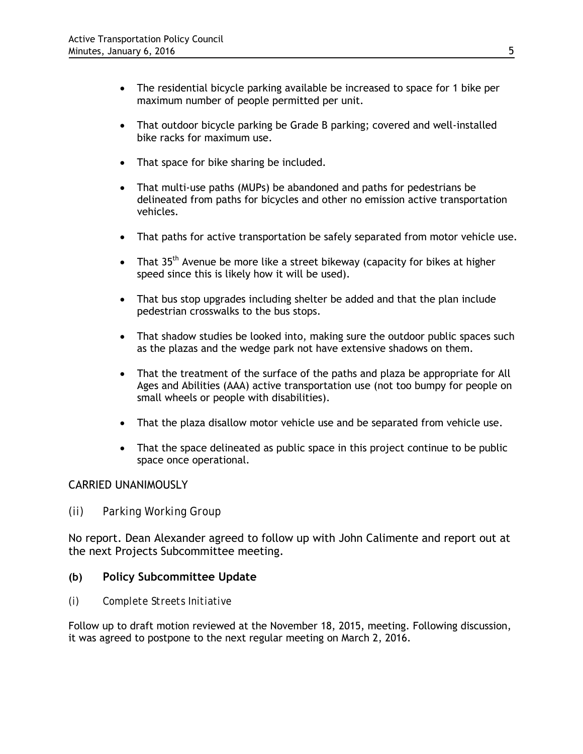- The residential bicycle parking available be increased to space for 1 bike per maximum number of people permitted per unit.
- That outdoor bicycle parking be Grade B parking; covered and well-installed bike racks for maximum use.
- That space for bike sharing be included.
- That multi-use paths (MUPs) be abandoned and paths for pedestrians be delineated from paths for bicycles and other no emission active transportation vehicles.
- That paths for active transportation be safely separated from motor vehicle use.
- That  $35<sup>th</sup>$  Avenue be more like a street bikeway (capacity for bikes at higher speed since this is likely how it will be used).
- That bus stop upgrades including shelter be added and that the plan include pedestrian crosswalks to the bus stops.
- That shadow studies be looked into, making sure the outdoor public spaces such as the plazas and the wedge park not have extensive shadows on them.
- That the treatment of the surface of the paths and plaza be appropriate for All Ages and Abilities (AAA) active transportation use (not too bumpy for people on small wheels or people with disabilities).
- That the plaza disallow motor vehicle use and be separated from vehicle use.
- That the space delineated as public space in this project continue to be public space once operational.

# CARRIED UNANIMOUSLY

*(ii) Parking Working Group*

No report. Dean Alexander agreed to follow up with John Calimente and report out at the next Projects Subcommittee meeting.

# **(b) Policy Subcommittee Update**

*(i) Complete Streets Initiative*

Follow up to draft motion reviewed at the November 18, 2015, meeting. Following discussion, it was agreed to postpone to the next regular meeting on March 2, 2016.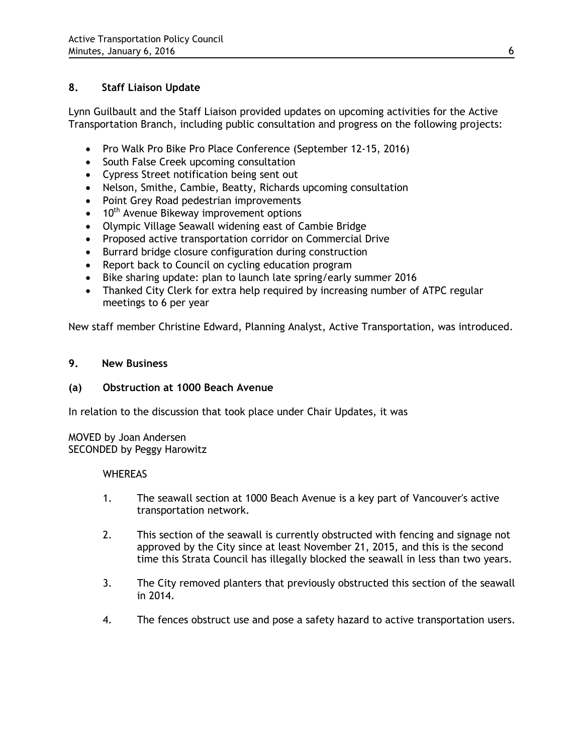# **8. Staff Liaison Update**

Lynn Guilbault and the Staff Liaison provided updates on upcoming activities for the Active Transportation Branch, including public consultation and progress on the following projects:

- Pro Walk Pro Bike Pro Place Conference (September 12-15, 2016)
- South False Creek upcoming consultation
- Cypress Street notification being sent out
- Nelson, Smithe, Cambie, Beatty, Richards upcoming consultation
- Point Grey Road pedestrian improvements
- 10<sup>th</sup> Avenue Bikeway improvement options
- Olympic Village Seawall widening east of Cambie Bridge
- Proposed active transportation corridor on Commercial Drive
- Burrard bridge closure configuration during construction
- Report back to Council on cycling education program
- Bike sharing update: plan to launch late spring/early summer 2016
- Thanked City Clerk for extra help required by increasing number of ATPC regular meetings to 6 per year

New staff member Christine Edward, Planning Analyst, Active Transportation, was introduced.

#### **9. New Business**

## **(a) Obstruction at 1000 Beach Avenue**

In relation to the discussion that took place under Chair Updates, it was

MOVED by Joan Andersen SECONDED by Peggy Harowitz

#### **WHEREAS**

- 1. The seawall section at 1000 Beach Avenue is a key part of Vancouver's active transportation network.
- 2. This section of the seawall is currently obstructed with fencing and signage not approved by the City since at least November 21, 2015, and this is the second time this Strata Council has illegally blocked the seawall in less than two years.
- 3. The City removed planters that previously obstructed this section of the seawall in 2014.
- 4. The fences obstruct use and pose a safety hazard to active transportation users.